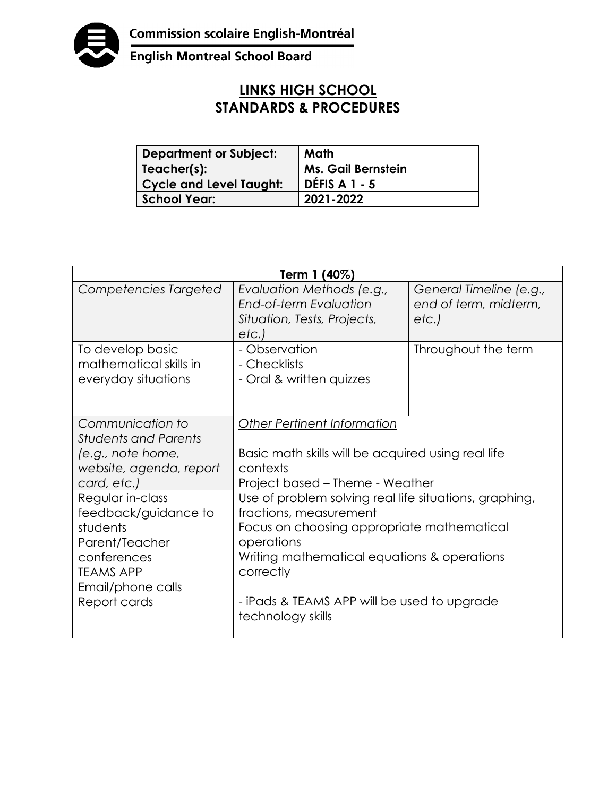

English Montreal School Board

## **LINKS HIGH SCHOOL STANDARDS & PROCEDURES**

| <b>Department or Subject:</b> | Math                      |
|-------------------------------|---------------------------|
| Teacher(s):                   | <b>Ms. Gail Bernstein</b> |
| Cycle and Level Taught:       | <b>DEFIS A 1 - 5</b>      |
| <b>School Year:</b>           | 2021-2022                 |

| Term 1 (40%)                                                                                                                                                                                                                                                     |                                                                                                                                                                                                                                                                                                                                                                                                                         |                                                          |  |  |
|------------------------------------------------------------------------------------------------------------------------------------------------------------------------------------------------------------------------------------------------------------------|-------------------------------------------------------------------------------------------------------------------------------------------------------------------------------------------------------------------------------------------------------------------------------------------------------------------------------------------------------------------------------------------------------------------------|----------------------------------------------------------|--|--|
| Competencies Targeted                                                                                                                                                                                                                                            | Evaluation Methods (e.g.,<br>End-of-term Evaluation<br>Situation, Tests, Projects,<br>etc.)                                                                                                                                                                                                                                                                                                                             | General Timeline (e.g.,<br>end of term, midterm,<br>etc. |  |  |
| To develop basic<br>mathematical skills in<br>everyday situations                                                                                                                                                                                                | - Observation<br>- Checklists<br>- Oral & written quizzes                                                                                                                                                                                                                                                                                                                                                               | Throughout the term                                      |  |  |
| Communication to<br><b>Students and Parents</b><br>(e.g., note home,<br>website, agenda, report<br>card, etc.)<br>Regular in-class<br>feedback/guidance to<br>students<br>Parent/Teacher<br>conferences<br><b>TEAMS APP</b><br>Email/phone calls<br>Report cards | <b>Other Pertinent Information</b><br>Basic math skills will be acquired using real life<br>contexts<br>Project based – Theme - Weather<br>Use of problem solving real life situations, graphing,<br>fractions, measurement<br>Focus on choosing appropriate mathematical<br>operations<br>Writing mathematical equations & operations<br>correctly<br>- iPads & TEAMS APP will be used to upgrade<br>technology skills |                                                          |  |  |